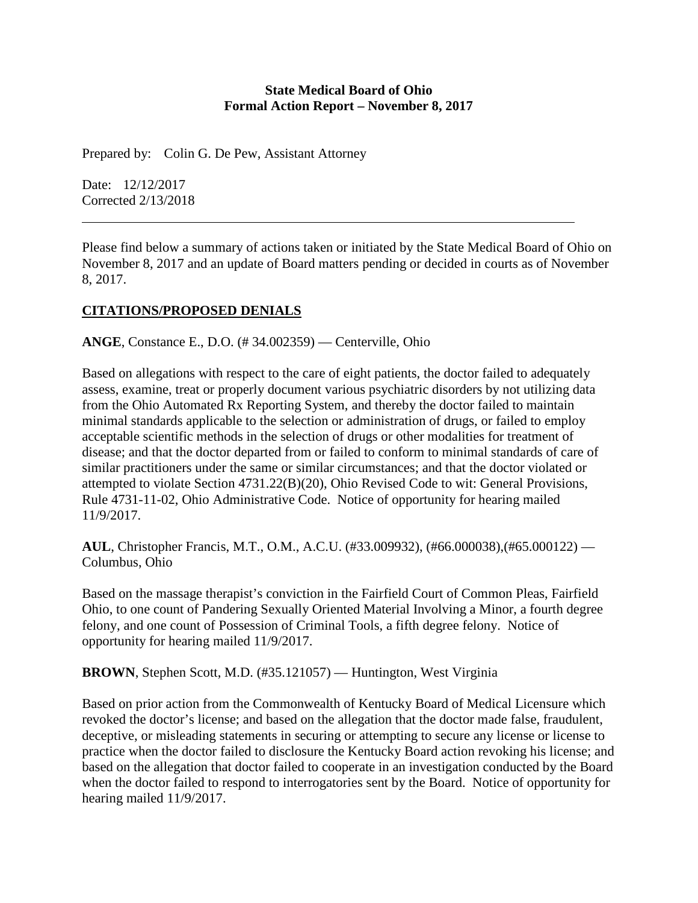#### **State Medical Board of Ohio Formal Action Report – November 8, 2017**

Prepared by: Colin G. De Pew, Assistant Attorney

Date: 12/12/2017 Corrected 2/13/2018

Please find below a summary of actions taken or initiated by the State Medical Board of Ohio on November 8, 2017 and an update of Board matters pending or decided in courts as of November 8, 2017.

## **CITATIONS/PROPOSED DENIALS**

**ANGE**, Constance E., D.O. (# 34.002359) — Centerville, Ohio

Based on allegations with respect to the care of eight patients, the doctor failed to adequately assess, examine, treat or properly document various psychiatric disorders by not utilizing data from the Ohio Automated Rx Reporting System, and thereby the doctor failed to maintain minimal standards applicable to the selection or administration of drugs, or failed to employ acceptable scientific methods in the selection of drugs or other modalities for treatment of disease; and that the doctor departed from or failed to conform to minimal standards of care of similar practitioners under the same or similar circumstances; and that the doctor violated or attempted to violate Section 4731.22(B)(20), Ohio Revised Code to wit: General Provisions, Rule 4731-11-02, Ohio Administrative Code. Notice of opportunity for hearing mailed 11/9/2017.

**AUL**, Christopher Francis, M.T., O.M., A.C.U. (#33.009932), (#66.000038),(#65.000122) — Columbus, Ohio

Based on the massage therapist's conviction in the Fairfield Court of Common Pleas, Fairfield Ohio, to one count of Pandering Sexually Oriented Material Involving a Minor, a fourth degree felony, and one count of Possession of Criminal Tools, a fifth degree felony. Notice of opportunity for hearing mailed 11/9/2017.

**BROWN**, Stephen Scott, M.D. (#35.121057) — Huntington, West Virginia

Based on prior action from the Commonwealth of Kentucky Board of Medical Licensure which revoked the doctor's license; and based on the allegation that the doctor made false, fraudulent, deceptive, or misleading statements in securing or attempting to secure any license or license to practice when the doctor failed to disclosure the Kentucky Board action revoking his license; and based on the allegation that doctor failed to cooperate in an investigation conducted by the Board when the doctor failed to respond to interrogatories sent by the Board. Notice of opportunity for hearing mailed 11/9/2017.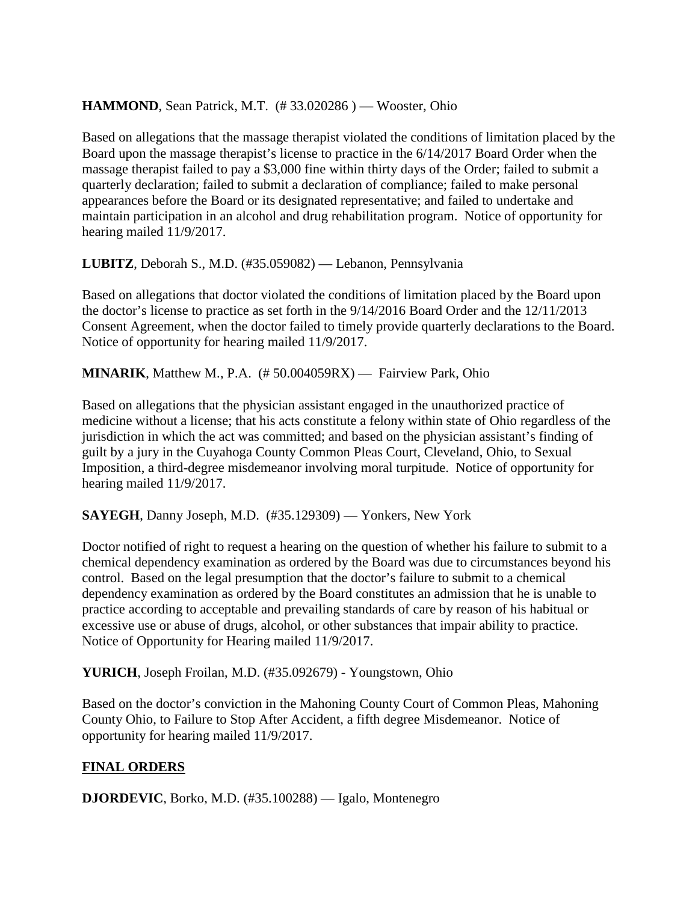# **HAMMOND**, Sean Patrick, M.T. (#33.020286) — Wooster, Ohio

Based on allegations that the massage therapist violated the conditions of limitation placed by the Board upon the massage therapist's license to practice in the 6/14/2017 Board Order when the massage therapist failed to pay a \$3,000 fine within thirty days of the Order; failed to submit a quarterly declaration; failed to submit a declaration of compliance; failed to make personal appearances before the Board or its designated representative; and failed to undertake and maintain participation in an alcohol and drug rehabilitation program. Notice of opportunity for hearing mailed 11/9/2017.

**LUBITZ**, Deborah S., M.D. (#35.059082) — Lebanon, Pennsylvania

Based on allegations that doctor violated the conditions of limitation placed by the Board upon the doctor's license to practice as set forth in the 9/14/2016 Board Order and the 12/11/2013 Consent Agreement, when the doctor failed to timely provide quarterly declarations to the Board. Notice of opportunity for hearing mailed 11/9/2017.

**MINARIK**, Matthew M., P.A. (# 50.004059RX) — Fairview Park, Ohio

Based on allegations that the physician assistant engaged in the unauthorized practice of medicine without a license; that his acts constitute a felony within state of Ohio regardless of the jurisdiction in which the act was committed; and based on the physician assistant's finding of guilt by a jury in the Cuyahoga County Common Pleas Court, Cleveland, Ohio, to Sexual Imposition, a third-degree misdemeanor involving moral turpitude. Notice of opportunity for hearing mailed 11/9/2017.

**SAYEGH**, Danny Joseph, M.D. (#35.129309) — Yonkers, New York

Doctor notified of right to request a hearing on the question of whether his failure to submit to a chemical dependency examination as ordered by the Board was due to circumstances beyond his control. Based on the legal presumption that the doctor's failure to submit to a chemical dependency examination as ordered by the Board constitutes an admission that he is unable to practice according to acceptable and prevailing standards of care by reason of his habitual or excessive use or abuse of drugs, alcohol, or other substances that impair ability to practice. Notice of Opportunity for Hearing mailed 11/9/2017.

**YURICH**, Joseph Froilan, M.D. (#35.092679) - Youngstown, Ohio

Based on the doctor's conviction in the Mahoning County Court of Common Pleas, Mahoning County Ohio, to Failure to Stop After Accident, a fifth degree Misdemeanor. Notice of opportunity for hearing mailed 11/9/2017.

## **FINAL ORDERS**

**DJORDEVIC**, Borko, M.D. (#35.100288) — Igalo, Montenegro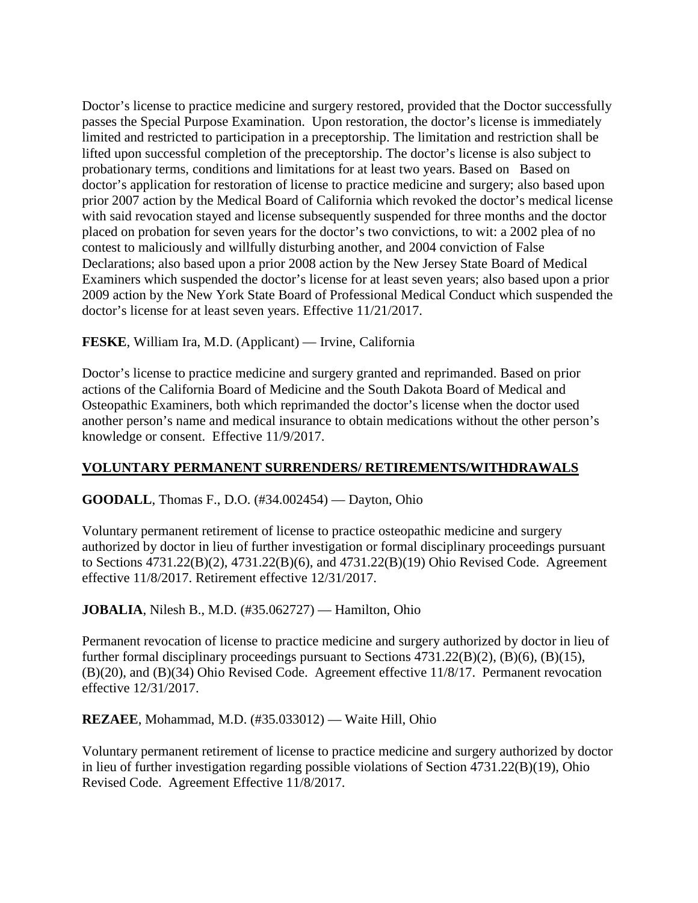Doctor's license to practice medicine and surgery restored, provided that the Doctor successfully passes the Special Purpose Examination. Upon restoration, the doctor's license is immediately limited and restricted to participation in a preceptorship. The limitation and restriction shall be lifted upon successful completion of the preceptorship. The doctor's license is also subject to probationary terms, conditions and limitations for at least two years. Based on Based on doctor's application for restoration of license to practice medicine and surgery; also based upon prior 2007 action by the Medical Board of California which revoked the doctor's medical license with said revocation stayed and license subsequently suspended for three months and the doctor placed on probation for seven years for the doctor's two convictions, to wit: a 2002 plea of no contest to maliciously and willfully disturbing another, and 2004 conviction of False Declarations; also based upon a prior 2008 action by the New Jersey State Board of Medical Examiners which suspended the doctor's license for at least seven years; also based upon a prior 2009 action by the New York State Board of Professional Medical Conduct which suspended the doctor's license for at least seven years. Effective 11/21/2017.

**FESKE**, William Ira, M.D. (Applicant) — Irvine, California

Doctor's license to practice medicine and surgery granted and reprimanded. Based on prior actions of the California Board of Medicine and the South Dakota Board of Medical and Osteopathic Examiners, both which reprimanded the doctor's license when the doctor used another person's name and medical insurance to obtain medications without the other person's knowledge or consent. Effective 11/9/2017.

# **VOLUNTARY PERMANENT SURRENDERS/ RETIREMENTS/WITHDRAWALS**

**GOODALL**, Thomas F., D.O. (#34.002454) — Dayton, Ohio

Voluntary permanent retirement of license to practice osteopathic medicine and surgery authorized by doctor in lieu of further investigation or formal disciplinary proceedings pursuant to Sections 4731.22(B)(2), 4731.22(B)(6), and 4731.22(B)(19) Ohio Revised Code. Agreement effective 11/8/2017. Retirement effective 12/31/2017.

**JOBALIA**, Nilesh B., M.D. (#35.062727) — Hamilton, Ohio

Permanent revocation of license to practice medicine and surgery authorized by doctor in lieu of further formal disciplinary proceedings pursuant to Sections 4731.22(B)(2), (B)(6), (B)(15), (B)(20), and (B)(34) Ohio Revised Code. Agreement effective 11/8/17. Permanent revocation effective 12/31/2017.

**REZAEE**, Mohammad, M.D. (#35.033012) — Waite Hill, Ohio

Voluntary permanent retirement of license to practice medicine and surgery authorized by doctor in lieu of further investigation regarding possible violations of Section 4731.22(B)(19), Ohio Revised Code. Agreement Effective 11/8/2017.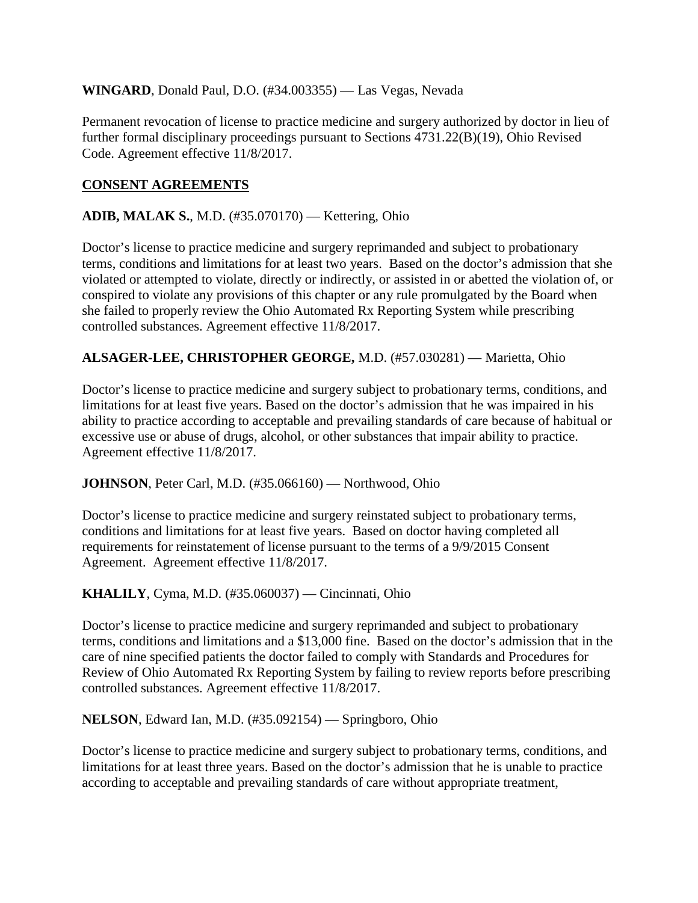## **WINGARD**, Donald Paul, D.O. (#34.003355) — Las Vegas, Nevada

Permanent revocation of license to practice medicine and surgery authorized by doctor in lieu of further formal disciplinary proceedings pursuant to Sections 4731.22(B)(19), Ohio Revised Code. Agreement effective 11/8/2017.

# **CONSENT AGREEMENTS**

## **ADIB, MALAK S.**, M.D. (#35.070170) — Kettering, Ohio

Doctor's license to practice medicine and surgery reprimanded and subject to probationary terms, conditions and limitations for at least two years. Based on the doctor's admission that she violated or attempted to violate, directly or indirectly, or assisted in or abetted the violation of, or conspired to violate any provisions of this chapter or any rule promulgated by the Board when she failed to properly review the Ohio Automated Rx Reporting System while prescribing controlled substances. Agreement effective 11/8/2017.

# **ALSAGER-LEE, CHRISTOPHER GEORGE,** M.D. (#57.030281) — Marietta, Ohio

Doctor's license to practice medicine and surgery subject to probationary terms, conditions, and limitations for at least five years. Based on the doctor's admission that he was impaired in his ability to practice according to acceptable and prevailing standards of care because of habitual or excessive use or abuse of drugs, alcohol, or other substances that impair ability to practice. Agreement effective 11/8/2017.

## **JOHNSON**, Peter Carl, M.D. (#35.066160) — Northwood, Ohio

Doctor's license to practice medicine and surgery reinstated subject to probationary terms, conditions and limitations for at least five years. Based on doctor having completed all requirements for reinstatement of license pursuant to the terms of a 9/9/2015 Consent Agreement. Agreement effective 11/8/2017.

## **KHALILY**, Cyma, M.D. (#35.060037) — Cincinnati, Ohio

Doctor's license to practice medicine and surgery reprimanded and subject to probationary terms, conditions and limitations and a \$13,000 fine. Based on the doctor's admission that in the care of nine specified patients the doctor failed to comply with Standards and Procedures for Review of Ohio Automated Rx Reporting System by failing to review reports before prescribing controlled substances. Agreement effective 11/8/2017.

#### **NELSON**, Edward Ian, M.D. (#35.092154) — Springboro, Ohio

Doctor's license to practice medicine and surgery subject to probationary terms, conditions, and limitations for at least three years. Based on the doctor's admission that he is unable to practice according to acceptable and prevailing standards of care without appropriate treatment,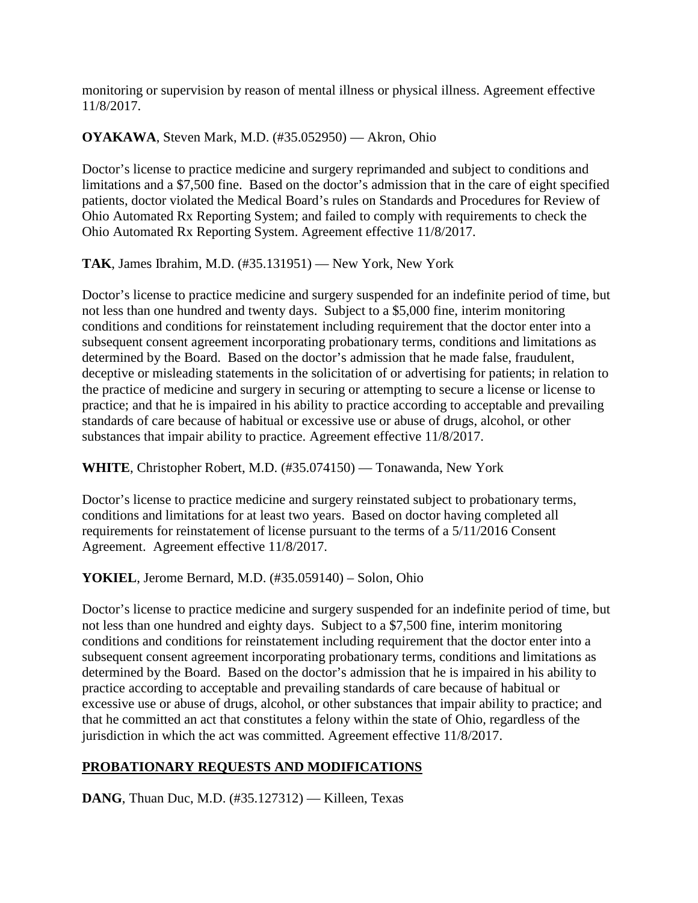monitoring or supervision by reason of mental illness or physical illness. Agreement effective 11/8/2017.

# **OYAKAWA**, Steven Mark, M.D. (#35.052950) — Akron, Ohio

Doctor's license to practice medicine and surgery reprimanded and subject to conditions and limitations and a \$7,500 fine. Based on the doctor's admission that in the care of eight specified patients, doctor violated the Medical Board's rules on Standards and Procedures for Review of Ohio Automated Rx Reporting System; and failed to comply with requirements to check the Ohio Automated Rx Reporting System. Agreement effective 11/8/2017.

**TAK**, James Ibrahim, M.D. (#35.131951) — New York, New York

Doctor's license to practice medicine and surgery suspended for an indefinite period of time, but not less than one hundred and twenty days. Subject to a \$5,000 fine, interim monitoring conditions and conditions for reinstatement including requirement that the doctor enter into a subsequent consent agreement incorporating probationary terms, conditions and limitations as determined by the Board. Based on the doctor's admission that he made false, fraudulent, deceptive or misleading statements in the solicitation of or advertising for patients; in relation to the practice of medicine and surgery in securing or attempting to secure a license or license to practice; and that he is impaired in his ability to practice according to acceptable and prevailing standards of care because of habitual or excessive use or abuse of drugs, alcohol, or other substances that impair ability to practice. Agreement effective 11/8/2017.

**WHITE**, Christopher Robert, M.D. (#35.074150) — Tonawanda, New York

Doctor's license to practice medicine and surgery reinstated subject to probationary terms, conditions and limitations for at least two years. Based on doctor having completed all requirements for reinstatement of license pursuant to the terms of a 5/11/2016 Consent Agreement. Agreement effective 11/8/2017.

**YOKIEL**, Jerome Bernard, M.D. (#35.059140) – Solon, Ohio

Doctor's license to practice medicine and surgery suspended for an indefinite period of time, but not less than one hundred and eighty days. Subject to a \$7,500 fine, interim monitoring conditions and conditions for reinstatement including requirement that the doctor enter into a subsequent consent agreement incorporating probationary terms, conditions and limitations as determined by the Board. Based on the doctor's admission that he is impaired in his ability to practice according to acceptable and prevailing standards of care because of habitual or excessive use or abuse of drugs, alcohol, or other substances that impair ability to practice; and that he committed an act that constitutes a felony within the state of Ohio, regardless of the jurisdiction in which the act was committed. Agreement effective 11/8/2017.

# **PROBATIONARY REQUESTS AND MODIFICATIONS**

**DANG**, Thuan Duc, M.D. (#35.127312) — Killeen, Texas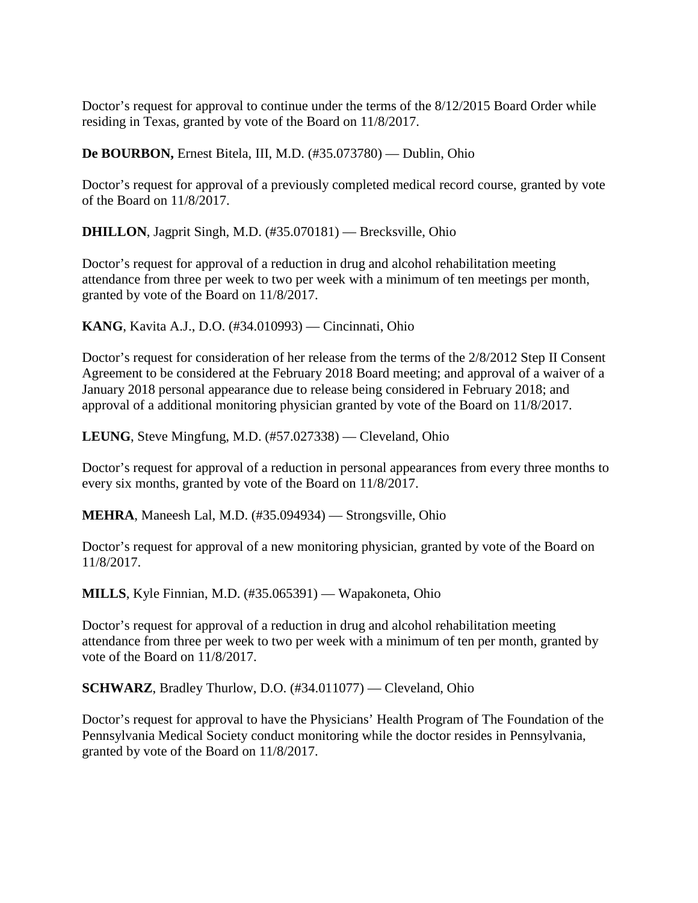Doctor's request for approval to continue under the terms of the 8/12/2015 Board Order while residing in Texas, granted by vote of the Board on 11/8/2017.

**De BOURBON,** Ernest Bitela, III, M.D. (#35.073780) — Dublin, Ohio

Doctor's request for approval of a previously completed medical record course, granted by vote of the Board on 11/8/2017.

**DHILLON**, Jagprit Singh, M.D. (#35.070181) — Brecksville, Ohio

Doctor's request for approval of a reduction in drug and alcohol rehabilitation meeting attendance from three per week to two per week with a minimum of ten meetings per month, granted by vote of the Board on 11/8/2017.

**KANG**, Kavita A.J., D.O. (#34.010993) — Cincinnati, Ohio

Doctor's request for consideration of her release from the terms of the 2/8/2012 Step II Consent Agreement to be considered at the February 2018 Board meeting; and approval of a waiver of a January 2018 personal appearance due to release being considered in February 2018; and approval of a additional monitoring physician granted by vote of the Board on 11/8/2017.

**LEUNG**, Steve Mingfung, M.D. (#57.027338) — Cleveland, Ohio

Doctor's request for approval of a reduction in personal appearances from every three months to every six months, granted by vote of the Board on 11/8/2017.

**MEHRA**, Maneesh Lal, M.D. (#35.094934) — Strongsville, Ohio

Doctor's request for approval of a new monitoring physician, granted by vote of the Board on 11/8/2017.

**MILLS**, Kyle Finnian, M.D. (#35.065391) — Wapakoneta, Ohio

Doctor's request for approval of a reduction in drug and alcohol rehabilitation meeting attendance from three per week to two per week with a minimum of ten per month, granted by vote of the Board on 11/8/2017.

**SCHWARZ**, Bradley Thurlow, D.O. (#34.011077) — Cleveland, Ohio

Doctor's request for approval to have the Physicians' Health Program of The Foundation of the Pennsylvania Medical Society conduct monitoring while the doctor resides in Pennsylvania, granted by vote of the Board on 11/8/2017.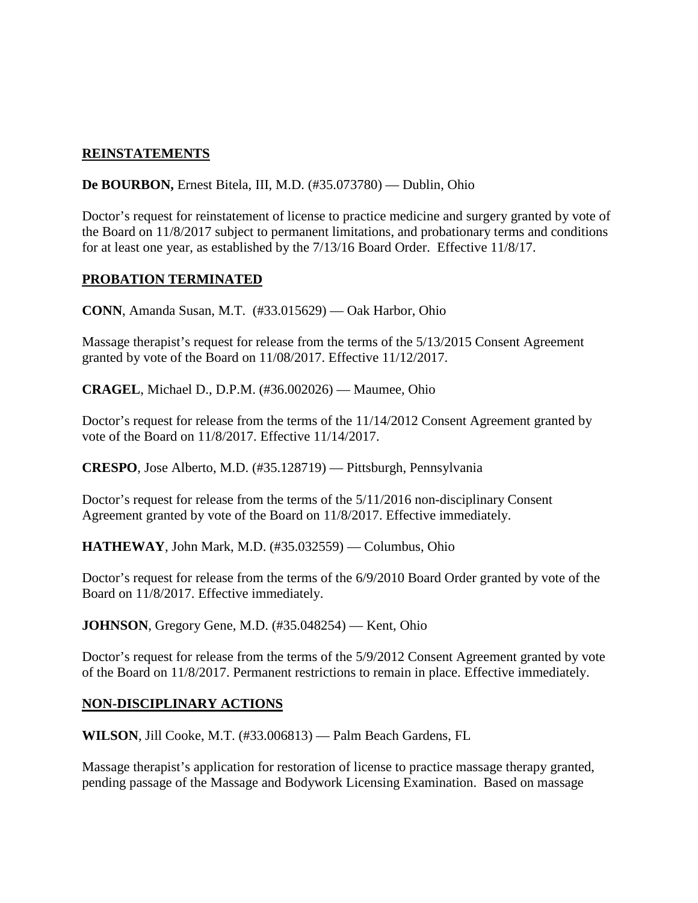# **REINSTATEMENTS**

**De BOURBON,** Ernest Bitela, III, M.D. (#35.073780) — Dublin, Ohio

Doctor's request for reinstatement of license to practice medicine and surgery granted by vote of the Board on 11/8/2017 subject to permanent limitations, and probationary terms and conditions for at least one year, as established by the 7/13/16 Board Order. Effective 11/8/17.

#### **PROBATION TERMINATED**

**CONN**, Amanda Susan, M.T. (#33.015629) — Oak Harbor, Ohio

Massage therapist's request for release from the terms of the 5/13/2015 Consent Agreement granted by vote of the Board on 11/08/2017. Effective 11/12/2017.

**CRAGEL**, Michael D., D.P.M. (#36.002026) — Maumee, Ohio

Doctor's request for release from the terms of the 11/14/2012 Consent Agreement granted by vote of the Board on 11/8/2017. Effective 11/14/2017.

**CRESPO**, Jose Alberto, M.D. (#35.128719) — Pittsburgh, Pennsylvania

Doctor's request for release from the terms of the 5/11/2016 non-disciplinary Consent Agreement granted by vote of the Board on 11/8/2017. Effective immediately.

**HATHEWAY**, John Mark, M.D. (#35.032559) — Columbus, Ohio

Doctor's request for release from the terms of the 6/9/2010 Board Order granted by vote of the Board on 11/8/2017. Effective immediately.

**JOHNSON**, Gregory Gene, M.D. (#35.048254) — Kent, Ohio

Doctor's request for release from the terms of the 5/9/2012 Consent Agreement granted by vote of the Board on 11/8/2017. Permanent restrictions to remain in place. Effective immediately.

## **NON-DISCIPLINARY ACTIONS**

**WILSON**, Jill Cooke, M.T. (#33.006813) — Palm Beach Gardens, FL

Massage therapist's application for restoration of license to practice massage therapy granted, pending passage of the Massage and Bodywork Licensing Examination. Based on massage